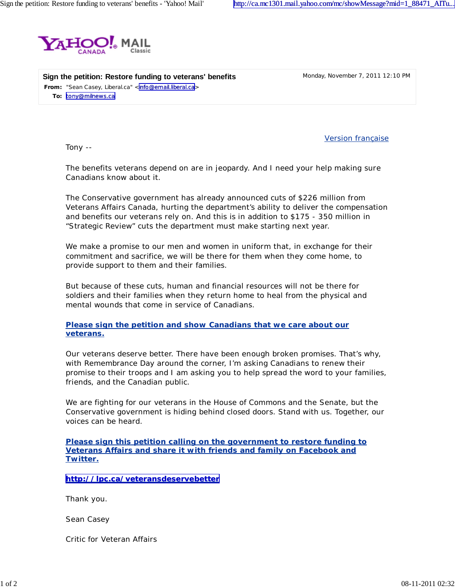

**From:** "Sean Casey, Liberal.ca" [<info@email.liberal.ca](mailto:info@email.liberal.ca)> **To:** [tony@milnews.ca](mailto:tony@milnews.ca) **Sign the petition: Restore funding to veterans' benefits** Monday, November 7, 2011 12:10 PM

Version française

Tony --

The benefits veterans depend on are in jeopardy. And I need your help making sure Canadians know about it.

The Conservative government has already announced cuts of \$226 million from Veterans Affairs Canada, hurting the department's ability to deliver the compensation and benefits our veterans rely on. And this is in addition to \$175 - 350 million in "Strategic Review" cuts the department must make starting next year.

We make a promise to our men and women in uniform that, in exchange for their commitment and sacrifice, we will be there for them when they come home, to provide support to them and their families.

But because of these cuts, human and financial resources will not be there for soldiers and their families when they return home to heal from the physical and mental wounds that come in service of Canadians.

**Please sign the petition and show Canadians that we care about our veterans.**

Our veterans deserve better. *There have been enough broken promises.* That's why, with Remembrance Day around the corner, I'm asking Canadians to renew their promise to their troops and I am asking *you* to help spread the word to your families, friends, and the Canadian public.

We are fighting for our veterans in the House of Commons and the Senate, but the Conservative government is hiding behind closed doors. Stand with us. Together, our voices can be heard.

**Please sign this petition calling on the government to restore funding to Veterans Affairs and share it with friends and family on Facebook and Twitter.**

**<http://lpc.ca/veteransdeservebetter>**

Thank you.

*Sean Casey*

Critic for Veteran Affairs